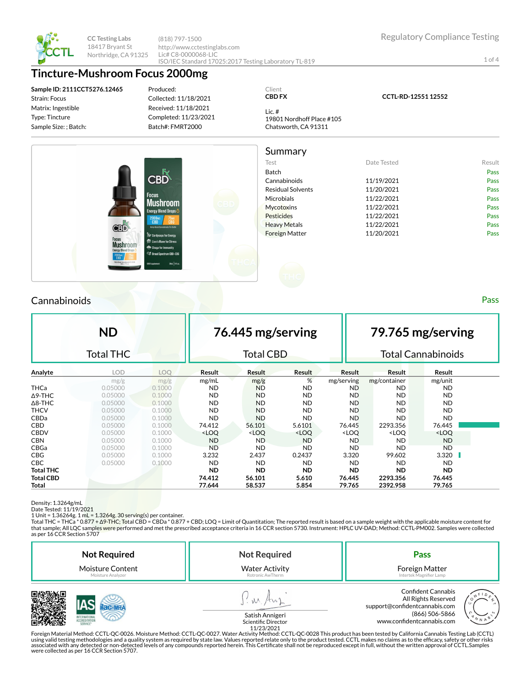

**CC Testing Labs** 18417 Bryant St Northridge, CA 91325 (818) 797-1500 http://www.cctestinglabs.com Lic# C8-0000068-LIC ISO/IEC Standard 17025:2017 Testing Laboratory TL-819

1 of 4

## **Tincture-Mushroom Focus 2000mg**

**Sample ID: 2111CCT5276.12465** Strain: Focus Matrix: Ingestible Type: Tincture Sample Size: ; Batch:

Produced: Collected: 11/18/2021 Received: 11/18/2021 Completed: 11/23/2021

Batch#: FMRT2000

#### Client **CBD FX**

19801 Nordhoff Place #105 Chatsworth, CA 91311

Lic. #

**CCTL-RD-12551 12552**

Summary Test **Test Example 2018** Date Tested **Result** Batch Pass CBĎ Cannabinoids 11/19/2021 Pass Residual Solvents **11/20/2021** Pass Microbials **11/22/2021** Pass Mushroom Mycotoxins **11/22/2021** Pass **Energy Blend Drops** Pesticides 211/22/2021 Pass Heavy Metals **11/22/2021** Pass CBĎ Foreign Matter 2002 11/20/2021 Pass **CON** Lion's Mane for Stress **Mushroom** 

## **Cannabinoids** Pass **Pass Pass Pass Pass Pass Pass Pass Pass Pass Pass**

**ND** Total THC **76.445 mg/serving** Total CBD **79.765 mg/serving** Total Cannabinoids **Analyte LOD LOQ Result Result Result Result Result Result** mg/g mg/g mg/mL mg/g % mg/serving mg/container mg/unit THCa 0.05000 0.1000 ND ND ND ND ND ND Δ9-THC 0.05000 0.1000 ND ND ND ND ND ND Δ8-THC 0.05000 0.1000 ND ND ND ND ND ND THCV 0.05000 0.1000 ND ND ND ND ND ND CBDa 0.05000 0.1000 ND ND ND ND ND ND CBD 0.05000 0.1000 74.412 56.101 5.6101 76.445 2293.356 76.445 CBDV 0.05000 0.1000 <LOQ <LOQ <LOQ <LOQ <LOQ <LOQ CBN 0.05000 0.1000 ND ND ND ND ND ND CBGa 0.05000 0.1000 ND ND ND ND ND ND CBG 0.05000 0.1000 3.232 2.437 0.2437 3.320 99.602 3.320 CBC 0.05000 0.1000 ND ND ND ND ND ND **Total THC ND ND ND ND ND ND Total CBD 74.412 56.101 5.610 76.445 2293.356 76.445 Total 77.644 58.537 5.854 79.765 2392.958 79.765**

Density: 1.3264g/mL

Date Tested: 11/19/2021

1 Unit = 1.36264g. 1 mL = 1.3264g. 30 serving(s) per container.<br>Total THC = THCa \* 0.877 + Δ9-THC; Total CBD = CBDa \* 0.877 + CBD; LOQ = Limit of Quantitation; The reported result is based on a sample weight with the appl that sample; All LQC samples were performed and met the prescribed acceptance criteria in 16 CCR section 5730. Instrument: HPLC UV-DAD; Method: CCTL-PM002. Samples were collected as per 16 CCR Section 5707

| <b>Not Required</b>     | <b>Not Required</b>                    | Pass                                                                                                                                      |  |  |
|-------------------------|----------------------------------------|-------------------------------------------------------------------------------------------------------------------------------------------|--|--|
| <b>Moisture Content</b> | <b>Water Activity</b>                  | Foreign Matter                                                                                                                            |  |  |
| Moisture Analyzer       | Rotronic AwTherm                       | Intertek Magnifier Lamp                                                                                                                   |  |  |
| SERVICE                 | Satish Annigeri<br>Scientific Director | <b>Confident Cannabis</b><br>All Rights Reserved<br>support@confidentcannabis.com<br>(866) 506-5866<br>N N A<br>www.confidentcannabis.com |  |  |



Satish Annigeri Scientific Director

11/23/2021<br>Foreign Material Method: CCTL-QC-0026. Moisture Method: CCTL-QC-0027. Water Activity Method: CCTL-QC-0028 This product has been tested by California Cannabis Testing Lab (CCTL) حدوث Foreign Material Method: CCTL using valid testing methodologies and a quality system as required by state law. Values reported relate only to the product tested. CCTL makes no claims as to the efficacy, safety or other risks<br>associated with any detecte were collected as per 16 CCR Section 5707.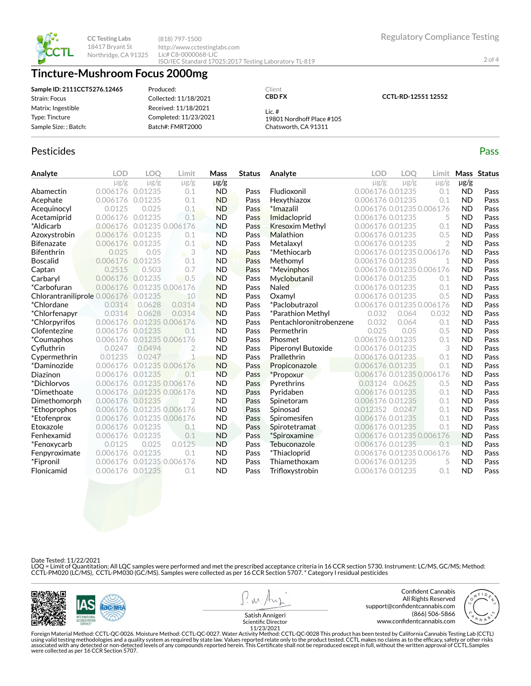**CCTL-RD-12551 12552**



2 of 4



**CC Testing Labs** 18417 Bryant St Northridge, CA 91325

(818) 797-1500 http://www.cctestinglabs.com Lic# C8-0000068-LIC ISO/IEC Standard 17025:2017 Testing Laboratory TL-819

# **Tincture-Mushroom Focus 2000mg**

**Sample ID: 2111CCT5276.12465** Strain: Focus Matrix: Ingestible Type: Tincture Sample Size: ; Batch: Produced:

Collected: 11/18/2021 Received: 11/18/2021 Completed: 11/23/2021 Batch#: FMRT2000

Lic. # 19801 Nordhoff Place #105 Chatsworth, CA 91311

Client **CBD FX**

## Pesticides **Passage Contract Contract Contract Contract Contract Contract Contract Contract Contract Contract Contract Contract Contract Contract Contract Contract Contract Contract Contract Contract Contract Contract Cont**

| Analyte                      | <b>LOD</b> | LOO       | Limit            | Mass      | <b>Status</b> | Analyte                 | LOD                       | <b>LOO</b> | Limit          |           | Mass Status |
|------------------------------|------------|-----------|------------------|-----------|---------------|-------------------------|---------------------------|------------|----------------|-----------|-------------|
|                              | $\mu$ g/g  | $\mu$ g/g | $\mu$ g/g        | $\mu$ g/g |               |                         | $\mu$ g/g                 | $\mu$ g/g  | $\mu$ g/g      | $\mu$ g/g |             |
| Abamectin                    | 0.006176   | 0.01235   | 0.1              | <b>ND</b> | Pass          | Fludioxonil             | 0.006176 0.01235          |            | 0.1            | <b>ND</b> | Pass        |
| Acephate                     | 0.006176   | 0.01235   | 0.1              | <b>ND</b> | Pass          | Hexythiazox             | 0.006176 0.01235          |            | 0.1            | <b>ND</b> | Pass        |
| Acequinocyl                  | 0.0125     | 0.025     | 0.1              | <b>ND</b> | Pass          | *Imazalil               | 0.006176 0.01235 0.006176 |            |                | <b>ND</b> | Pass        |
| Acetamiprid                  | 0.006176   | 0.01235   | 0.1              | <b>ND</b> | Pass          | Imidacloprid            | 0.006176 0.01235          |            | 5              | <b>ND</b> | Pass        |
| *Aldicarb                    | 0.006176   |           | 0.01235 0.006176 | <b>ND</b> | Pass          | <b>Kresoxim Methyl</b>  | 0.006176 0.01235          |            | 0.1            | <b>ND</b> | Pass        |
| Azoxystrobin                 | 0.006176   | 0.01235   | 0.1              | <b>ND</b> | Pass          | Malathion               | 0.006176 0.01235          |            | 0.5            | <b>ND</b> | Pass        |
| <b>Bifenazate</b>            | 0.006176   | 0.01235   | 0.1              | <b>ND</b> | Pass          | Metalaxyl               | 0.006176 0.01235          |            | $\overline{2}$ | <b>ND</b> | Pass        |
| <b>Bifenthrin</b>            | 0.025      | 0.05      | $\Box$           | <b>ND</b> | Pass          | *Methiocarb             | 0.006176 0.01235 0.006176 |            |                | <b>ND</b> | Pass        |
| <b>Boscalid</b>              | 0.006176   | 0.01235   | 0.1              | <b>ND</b> | Pass          | Methomyl                | 0.006176 0.01235          |            | 1              | <b>ND</b> | Pass        |
| Captan                       | 0.2515     | 0.503     | 0.7              | <b>ND</b> | Pass          | *Mevinphos              | 0.006176 0.01235 0.006176 |            |                | <b>ND</b> | Pass        |
| Carbaryl                     | 0.006176   | 0.01235   | 0.5              | <b>ND</b> | Pass          | Myclobutanil            | 0.006176 0.01235          |            | 0.1            | <b>ND</b> | Pass        |
| *Carbofuran                  | 0.006176   |           | 0.01235 0.006176 | <b>ND</b> | Pass          | Naled                   | 0.006176 0.01235          |            | 0.1            | <b>ND</b> | Pass        |
| Chlorantraniliprole 0.006176 |            | 0.01235   | 10               | <b>ND</b> | Pass          | Oxamvl                  | 0.006176 0.01235          |            | 0.5            | <b>ND</b> | Pass        |
| *Chlordane                   | 0.0314     | 0.0628    | 0.0314           | <b>ND</b> | Pass          | *Paclobutrazol          | 0.006176 0.01235 0.006176 |            |                | <b>ND</b> | Pass        |
| *Chlorfenapyr                | 0.0314     | 0.0628    | 0.0314           | <b>ND</b> | Pass          | *Parathion Methyl       | 0.032                     | 0.064      | 0.032          | <b>ND</b> | Pass        |
| <i>*Chlorpyrifos</i>         | 0.006176   |           | 0.01235 0.006176 | <b>ND</b> | Pass          | Pentachloronitrobenzene | 0.032                     | 0.064      | 0.1            | <b>ND</b> | Pass        |
| Clofentezine                 | 0.006176   | 0.01235   | 0.1              | <b>ND</b> | Pass          | Permethrin              | 0.025                     | 0.05       | 0.5            | <b>ND</b> | Pass        |
| *Coumaphos                   | 0.006176   |           | 0.01235 0.006176 | <b>ND</b> | Pass          | Phosmet                 | 0.006176 0.01235          |            | 0.1            | <b>ND</b> | Pass        |
| Cyfluthrin                   | 0.0247     | 0.0494    |                  | <b>ND</b> | Pass          | Piperonyl Butoxide      | 0.006176 0.01235          |            | 3              | <b>ND</b> | Pass        |
| Cypermethrin                 | 0.01235    | 0.0247    |                  | <b>ND</b> | Pass          | <b>Prallethrin</b>      | 0.006176 0.01235          |            | 0.1            | <b>ND</b> | Pass        |
| *Daminozide                  | 0.006176   |           | 0.01235 0.006176 | <b>ND</b> | Pass          | Propiconazole           | 0.006176 0.01235          |            | 0.1            | <b>ND</b> | Pass        |
| Diazinon                     | 0.006176   | 0.01235   | 0.1              | <b>ND</b> | Pass          | *Propoxur               | 0.006176 0.01235 0.006176 |            |                | <b>ND</b> | Pass        |
| *Dichlorvos                  | 0.006176   |           | 0.01235 0.006176 | <b>ND</b> | Pass          | Pyrethrins              | 0.03124 0.0625            |            | 0.5            | <b>ND</b> | Pass        |
| *Dimethoate                  | 0.006176   |           | 0.01235 0.006176 | <b>ND</b> | Pass          | Pyridaben               | 0.006176 0.01235          |            | 0.1            | <b>ND</b> | Pass        |
| Dimethomorph                 | 0.006176   | 0.01235   |                  | <b>ND</b> | Pass          | Spinetoram              | 0.006176 0.01235          |            | 0.1            | <b>ND</b> | Pass        |
| *Ethoprophos                 | 0.006176   |           | 0.01235 0.006176 | <b>ND</b> | Pass          | Spinosad                | 0.012352                  | 0.0247     | 0.1            | <b>ND</b> | Pass        |
| *Etofenprox                  | 0.006176   |           | 0.01235 0.006176 | <b>ND</b> | Pass          | Spiromesifen            | 0.006176 0.01235          |            | 0.1            | <b>ND</b> | Pass        |
| Etoxazole                    | 0.006176   | 0.01235   | 0.1              | <b>ND</b> | Pass          | Spirotetramat           | 0.006176 0.01235          |            | 0.1            | <b>ND</b> | Pass        |
| Fenhexamid                   | 0.006176   | 0.01235   | 0.1              | <b>ND</b> | Pass          | *Spiroxamine            | 0.006176 0.01235 0.006176 |            |                | <b>ND</b> | Pass        |
| *Fenoxycarb                  | 0.0125     | 0.025     | 0.0125           | <b>ND</b> | Pass          | Tebuconazole            | 0.006176 0.01235          |            | 0.1            | <b>ND</b> | Pass        |
| Fenpyroximate                | 0.006176   | 0.01235   | 0.1              | <b>ND</b> | Pass          | *Thiacloprid            | 0.006176 0.01235 0.006176 |            |                | <b>ND</b> | Pass        |
| *Fipronil                    | 0.006176   |           | 0.01235 0.006176 | <b>ND</b> | Pass          | Thiamethoxam            | 0.006176 0.01235          |            | 5              | <b>ND</b> | Pass        |
| Flonicamid                   | 0.006176   | 0.01235   | 0.1              | <b>ND</b> | Pass          | Trifloxystrobin         | 0.006176 0.01235          |            | 0.1            | <b>ND</b> | Pass        |
|                              |            |           |                  |           |               |                         |                           |            |                |           |             |

Date Tested: 11/22/2021

LOQ = Limit of Quantitation; All LQC samples were performed and met the prescribed acceptance criteria in 16 CCR section 5730. Instrument: LC/MS, GC/MS; Method:<br>CCTL-PM020 (LC/MS), CCTL-PM030 (GC/MS). Samples were collect



Foreign Material Method: CCTL-QC-0026. Moisture Method: CCTL-QC-0027. Water Activity Method: CCTL-QC-0028 This product has been tested by California Cannabis Testing Lab (CCTL)<br>using valid testing methodologies and a quali were collected as per 16 CCR Section 5707.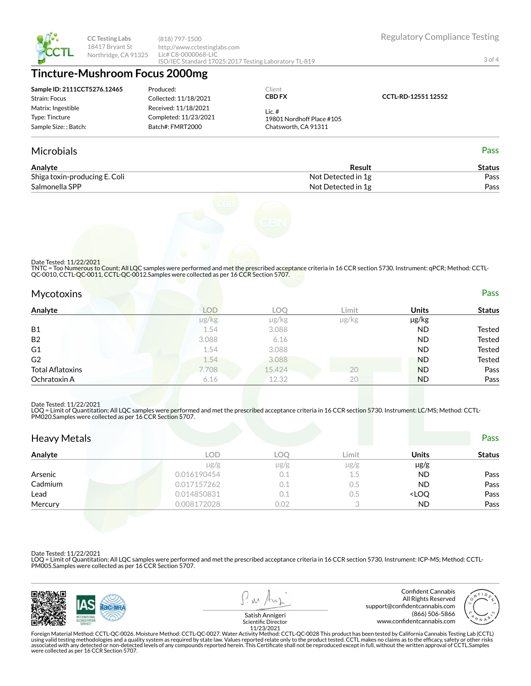

**CC Testing Labs** 18417 Bryant St Northridge, CA 91325 (818) 797-1500 http://www.cctestinglabs.com Lic# C8-0000068-LIC ISO/IEC Standard 17025:2017 Testing Laboratory TL-819

# **Tincture-Mushroom Focus 2000mg**

| Sample ID: 2111CCT5276.12465 | Produced:             | Client                    |                     |
|------------------------------|-----------------------|---------------------------|---------------------|
| Strain: Focus                | Collected: 11/18/2021 | <b>CBD FX</b>             | CCTL-RD-12551 12552 |
| Matrix: Ingestible           | Received: 11/18/2021  | Lic.#                     |                     |
| Type: Tincture               | Completed: 11/23/2021 | 19801 Nordhoff Place #105 |                     |
| Sample Size: : Batch:        | Batch#: FMRT2000      | Chatsworth, CA 91311      |                     |
|                              |                       |                           |                     |

### Microbials Pass

| Analyte                       | Result             | Status |
|-------------------------------|--------------------|--------|
| Shiga toxin-producing E. Coli | Not Detected in 1g | Pass   |
| Salmonella SPP                | Not Detected in 1g | Pass   |



Date Tested: 11/22/2021

TNTC = Too Numerous to Count; All LQC samples were performed and met the prescribed acceptance criteria in 16 CCR section 5730. Instrument: qPCR; Method: CCTL-<br>QC-0010, CCTL-QC-0011, CCTL-QC-0012.Samples were collected as

### Mycotoxins Pass

| . .                     |       |            |               |            |               |
|-------------------------|-------|------------|---------------|------------|---------------|
| Analyte                 | LOD   | <b>LOC</b> | Limit         | Units      | <b>Status</b> |
|                         | µg/kg | µg/kg      | $\mu$ g/ $kg$ | $\mu$ g/kg |               |
| <b>B1</b>               | 1.54  | 3.088      |               | <b>ND</b>  | <b>Tested</b> |
| <b>B2</b>               | 3.088 | 6.16       |               | <b>ND</b>  | <b>Tested</b> |
| G <sub>1</sub>          | 1.54  | 3.088      |               | <b>ND</b>  | <b>Tested</b> |
| G <sub>2</sub>          | 1.54  | 3.088      |               | <b>ND</b>  | <b>Tested</b> |
| <b>Total Aflatoxins</b> | 7.708 | 15.424     | 20            | <b>ND</b>  | Pass          |
| Ochratoxin A            | 6.16  | 12.32      | 20            | <b>ND</b>  | Pass          |

#### Date Tested: 11/22/2021

LOQ = Limit of Quantitation; All LQC samples were performed and met the prescribed acceptance criteria in 16 CCR section 5730. Instrument: LC/MS; Method: CCTL-<br>PM020.Samples were collected as per 16 CCR Section 5707.

| <b>Heavy Metals</b> |             |           |           |                                  | Pass          |
|---------------------|-------------|-----------|-----------|----------------------------------|---------------|
| Analyte             | LOD         | LOO       | Limit     | Units                            | <b>Status</b> |
|                     | $\mu$ g/g   | $\mu$ g/g | $\mu$ g/g | $\mu$ g/g                        |               |
| Arsenic             | 0.016190454 | 0.1       | 1.5       | <b>ND</b>                        | Pass          |
| Cadmium             | 0.017157262 | 0.1       | $0.5\,$   | <b>ND</b>                        | Pass          |
| Lead                | 0.014850831 | 0.1       | 0.5       | <loq< td=""><td>Pass</td></loq<> | Pass          |
| Mercury             | 0.008172028 | 0.02      |           | <b>ND</b>                        | Pass          |

#### Date Tested: 11/22/2021

LOQ = Limit of Quantitation; All LQC samples were performed and met the prescribed acceptance criteria in 16 CCR section 5730. Instrument: ICP-MS; Method: CCTL-PM005.Samples were collected as per 16 CCR Section 5707.





11/23/2021

Regulatory Compliance Testing

3 of 4

Foreign Material Method: CCTL-QC-0026. Moisture Method: CCTL-QC-0027. Water Activity Method: CCTL-QC-0028 This product has been tested by California Cannabis Testing Lab (CCTL)<br>using valid testing methodologies and a quali were collected as per 16 CCR Section 5707.